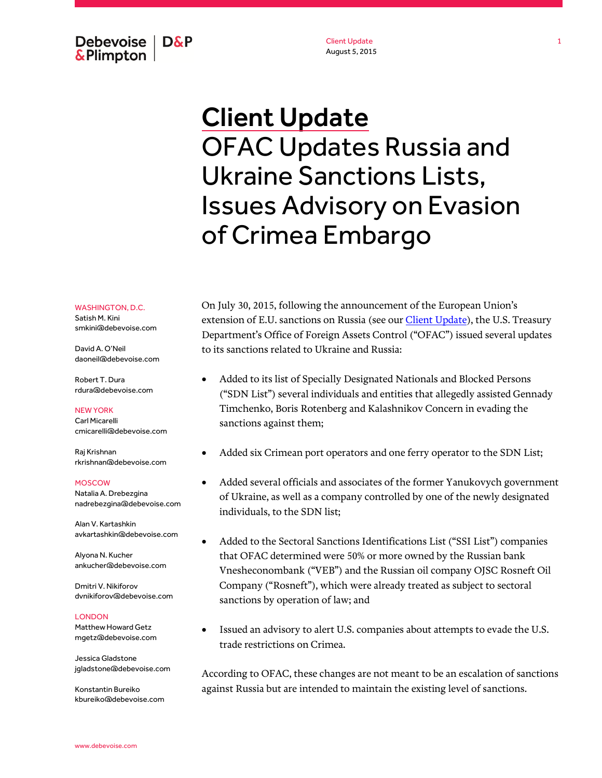Debevoise  $\overline{ }$  D&P **&Plimpton** 

Client Update August 5, 2015

# Client Update OFAC Updates Russia and Ukraine Sanctions Lists, Issues Advisory on Evasion of Crimea Embargo

WASHINGTON, D.C. Satish M. Kini smkini@debevoise.com

David A. O'Neil daoneil@debevoise.com

Robert T. Dura rdura@debevoise.com

NEW YORK Carl Micarelli cmicarelli@debevoise.com

Raj Krishnan rkrishnan@debevoise.com

#### MOSCOW

Natalia A. Drebezgina nadrebezgina@debevoise.com

Alan V. Kartashkin avkartashkin@debevoise.com

Alyona N. Kucher ankucher@debevoise.com

Dmitri V. Nikiforov dvnikiforov@debevoise.com

#### LONDON

Matthew Howard Getz mgetz@debevoise.com

Jessica Gladstone jgladstone@debevoise.com

Konstantin Bureiko kbureiko@debevoise.com On July 30, 2015, following the announcement of the European Union's extension of E.U. sanctions on Russia (see our *Client Update*), the U.S. Treasury Department's Office of Foreign Assets Control ("OFAC") issued several updates to its sanctions related to Ukraine and Russia:

- Added to its list of Specially Designated Nationals and Blocked Persons ("SDN List") several individuals and entities that allegedly assisted Gennady Timchenko, Boris Rotenberg and Kalashnikov Concern in evading the sanctions against them;
- Added six Crimean port operators and one ferry operator to the SDN List;
- Added several officials and associates of the former Yanukovych government of Ukraine, as well as a company controlled by one of the newly designated individuals, to the SDN list;
- Added to the Sectoral Sanctions Identifications List ("SSI List") companies that OFAC determined were 50% or more owned by the Russian bank Vnesheconombank ("VEB") and the Russian oil company OJSC Rosneft Oil Company ("Rosneft"), which were already treated as subject to sectoral sanctions by operation of law; and
- Issued an advisory to alert U.S. companies about attempts to evade the U.S. trade restrictions on Crimea.

According to OFAC, these changes are not meant to be an escalation of sanctions against Russia but are intended to maintain the existing level of sanctions.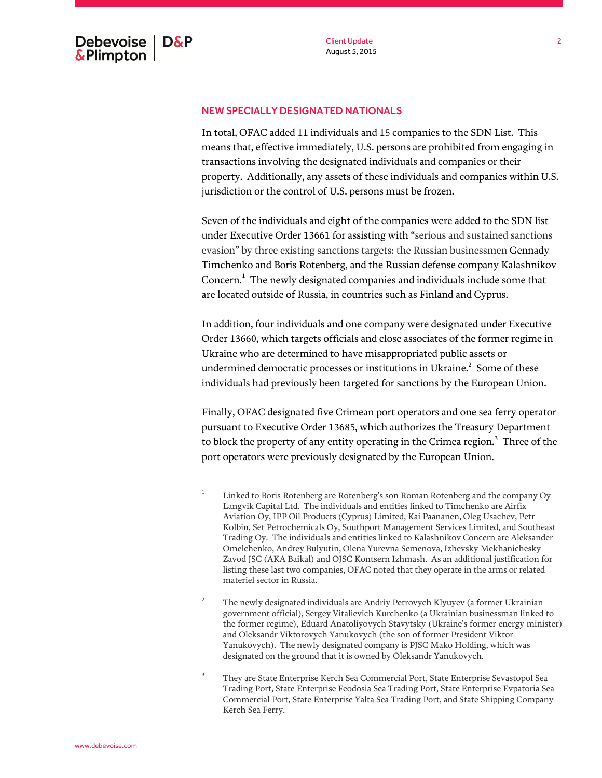## NEW SPECIALLY DESIGNATED NATIONALS

In total, OFAC added 11 individuals and 15 companies to the SDN List. This means that, effective immediately, U.S. persons are prohibited from engaging in transactions involving the designated individuals and companies or their property. Additionally, any assets of these individuals and companies within U.S. jurisdiction or the control of U.S. persons must be frozen.

Seven of the individuals and eight of the companies were added to the SDN list under Executive Order 13661 for assisting with "serious and sustained sanctions evasion" by three existing sanctions targets: the Russian businessmen Gennady Timchenko and Boris Rotenberg, and the Russian defense company Kalashnikov Concern. $^1$  The newly designated companies and individuals include some that are located outside of Russia, in countries such as Finland and Cyprus.

In addition, four individuals and one company were designated under Executive Order 13660, which targets officials and close associates of the former regime in Ukraine who are determined to have misappropriated public assets or undermined democratic processes or institutions in Ukraine. $^2\,$  Some of these individuals had previously been targeted for sanctions by the European Union.

Finally, OFAC designated five Crimean port operators and one sea ferry operator pursuant to Executive Order 13685, which authorizes the Treasury Department to block the property of any entity operating in the Crimea region. $^3\,$  Three of the port operators were previously designated by the European Union.

 $\frac{1}{1}$ Linked to Boris Rotenberg are Rotenberg's son Roman Rotenberg and the company Oy Langvik Capital Ltd. The individuals and entities linked to Timchenko are Airfix Aviation Oy, IPP Oil Products (Cyprus) Limited, Kai Paananen, Oleg Usachev, Petr Kolbin, Set Petrochemicals Oy, Southport Management Services Limited, and Southeast Trading Oy. The individuals and entities linked to Kalashnikov Concern are Aleksander Omelchenko, Andrey Bulyutin, Olena Yurevna Semenova, Izhevsky Mekhanichesky Zavod JSC (AKA Baikal) and OJSC Kontsern Izhmash. As an additional justification for listing these last two companies, OFAC noted that they operate in the arms or related materiel sector in Russia.

<sup>2</sup> The newly designated individuals are Andriy Petrovych Klyuyev (a former Ukrainian government official), Sergey Vitalievich Kurchenko (a Ukrainian businessman linked to the former regime), Eduard Anatoliyovych Stavytsky (Ukraine's former energy minister) and Oleksandr Viktorovych Yanukovych (the son of former President Viktor Yanukovych). The newly designated company is PJSC Mako Holding, which was designated on the ground that it is owned by Oleksandr Yanukovych.

<sup>3</sup> They are State Enterprise Kerch Sea Commercial Port, State Enterprise Sevastopol Sea Trading Port, State Enterprise Feodosia Sea Trading Port, State Enterprise Evpatoria Sea Commercial Port, State Enterprise Yalta Sea Trading Port, and State Shipping Company Kerch Sea Ferry.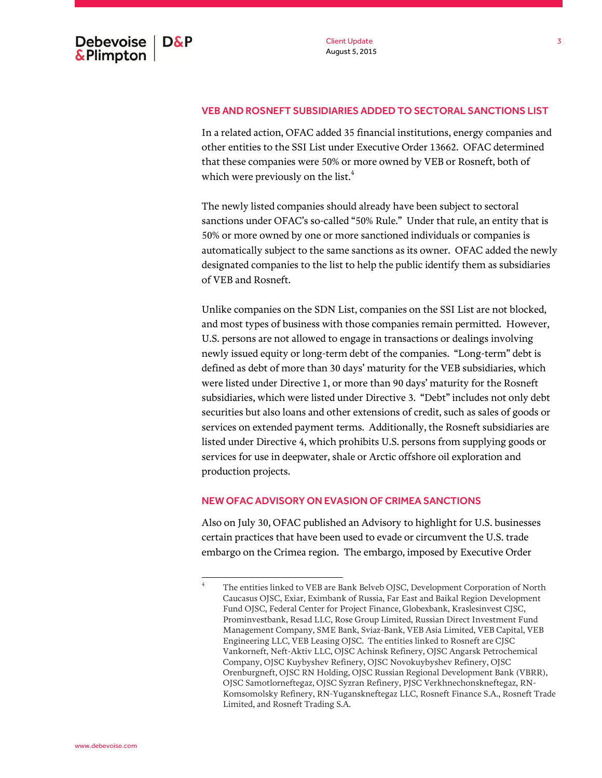## VEB AND ROSNEFT SUBSIDIARIES ADDED TO SECTORAL SANCTIONS LIST

In a related action, OFAC added 35 financial institutions, energy companies and other entities to the SSI List under Executive Order 13662. OFAC determined that these companies were 50% or more owned by VEB or Rosneft, both of which were previously on the list.<sup>4</sup>

The newly listed companies should already have been subject to sectoral sanctions under OFAC's so-called "50% Rule." Under that rule, an entity that is 50% or more owned by one or more sanctioned individuals or companies is automatically subject to the same sanctions as its owner. OFAC added the newly designated companies to the list to help the public identify them as subsidiaries of VEB and Rosneft.

Unlike companies on the SDN List, companies on the SSI List are not blocked, and most types of business with those companies remain permitted. However, U.S. persons are not allowed to engage in transactions or dealings involving newly issued equity or long-term debt of the companies. "Long-term" debt is defined as debt of more than 30 days' maturity for the VEB subsidiaries, which were listed under Directive 1, or more than 90 days' maturity for the Rosneft subsidiaries, which were listed under Directive 3. "Debt" includes not only debt securities but also loans and other extensions of credit, such as sales of goods or services on extended payment terms. Additionally, the Rosneft subsidiaries are listed under Directive 4, which prohibits U.S. persons from supplying goods or services for use in deepwater, shale or Arctic offshore oil exploration and production projects.

### NEW OFAC ADVISORY ON EVASION OF CRIMEA SANCTIONS

Also on July 30, OFAC published an Advisory to highlight for U.S. businesses certain practices that have been used to evade or circumvent the U.S. trade embargo on the Crimea region. The embargo, imposed by Executive Order

 4 The entities linked to VEB are Bank Belveb OJSC, Development Corporation of North Caucasus OJSC, Exiar, Eximbank of Russia, Far East and Baikal Region Development Fund OJSC, Federal Center for Project Finance, Globexbank, Kraslesinvest CJSC, Prominvestbank, Resad LLC, Rose Group Limited, Russian Direct Investment Fund Management Company, SME Bank, Sviaz-Bank, VEB Asia Limited, VEB Capital, VEB Engineering LLC, VEB Leasing OJSC. The entities linked to Rosneft are CJSC Vankorneft, Neft-Aktiv LLC, OJSC Achinsk Refinery, OJSC Angarsk Petrochemical Company, OJSC Kuybyshev Refinery, OJSC Novokuybyshev Refinery, OJSC Orenburgneft, OJSC RN Holding, OJSC Russian Regional Development Bank (VBRR), OJSC Samotlorneftegaz, OJSC Syzran Refinery, PJSC Verkhnechonskneftegaz, RN-Komsomolsky Refinery, RN-Yuganskneftegaz LLC, Rosneft Finance S.A., Rosneft Trade Limited, and Rosneft Trading S.A.